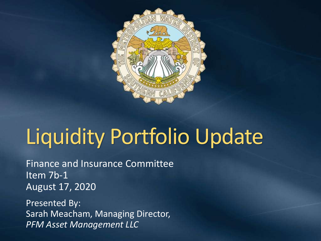

# Liquidity Portfolio Update

Finance and Insurance Committee Item 7b-1 August 17, 2020

Presented By: Sarah Meacham, Managing Director, *PFM Asset Management LLC*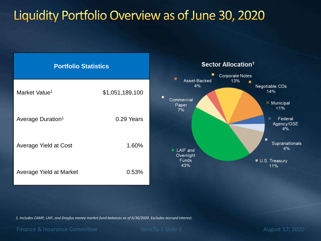### Liquidity Portfolio Overview as of June 30, 2020



*1. Includes CAMP, LAIF, and Dreyfus money market fund balances as of 6/30/2020. Excludes accrued interest.* 

Finance & Insurance Committee Item7b-1 Slide 2 August 17, 2020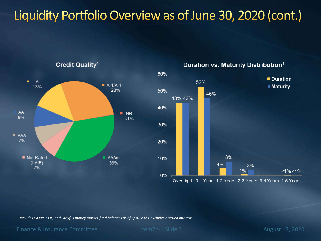# Liquidity Portfolio Overview as of June 30, 2020 (cont.)



Duration vs. Maturity Distribution<sup>1</sup>



*1. Includes CAMP, LAIF, and Dreyfus money market fund balances as of 6/30/2020. Excludes accrued interest.* 

Finance & Insurance Committee Item7b-1 Slide 3 August 17, 2020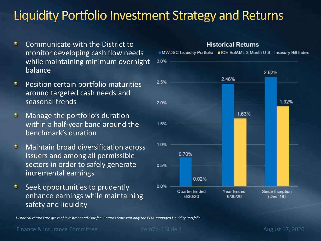# Liquidity Portfolio Investment Strategy and Returns

- ۰ Communicate with the District to monitor developing cash flow needs while maintaining minimum overnight balance
- Position certain portfolio maturities ٠ around targeted cash needs and seasonal trends
- Manage the portfolio's duration o within a half-year band around the benchmark's duration
- Maintain broad diversification across e. issuers and among all permissible sectors in order to safely generate incremental earnings
- Seek opportunities to prudently ۰ enhance earnings while maintaining safety and liquidity



**Historical Returns** 

*Historical returns are gross of investment advisor fee. Returns represent only the PFM-managed Liquidity Portfolio.* 

Finance & Insurance Committee Item7b-1 Slide 4 August 17, 2020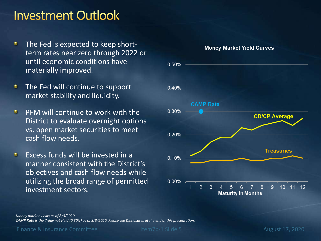#### **Investment Outlook**

- ۰ The Fed is expected to keep shortterm rates near zero through 2022 or until economic conditions have materially improved.
- The Fed will continue to support ۰ market stability and liquidity.
- PFM will continue to work with the o District to evaluate overnight options vs. open market securities to meet cash flow needs.
- e. Excess funds will be invested in a manner consistent with the District's objectives and cash flow needs while utilizing the broad range of permitted investment sectors.



#### *Money market yields as of 8/3/2020.*

*CAMP Rate is the 7-day net yield (0.30%) as of 8/3/2020. Please see Disclosures at the end of this presentation.*

Finance & Insurance Committee Item7b-1 Slide 5 August 17, 2020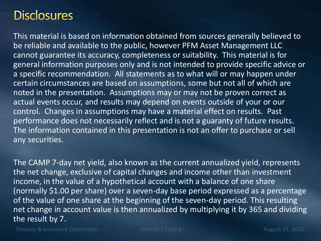#### **Disclosures**

This material is based on information obtained from sources generally believed to be reliable and available to the public, however PFM Asset Management LLC cannot guarantee its accuracy, completeness or suitability. This material is for general information purposes only and is not intended to provide specific advice or a specific recommendation. All statements as to what will or may happen under certain circumstances are based on assumptions, some but not all of which are noted in the presentation. Assumptions may or may not be proven correct as actual events occur, and results may depend on events outside of your or our control. Changes in assumptions may have a material effect on results. Past performance does not necessarily reflect and is not a guaranty of future results. The information contained in this presentation is not an offer to purchase or sell any securities.

The CAMP 7-day net yield, also known as the current annualized yield, represents the net change, exclusive of capital changes and income other than investment income, in the value of a hypothetical account with a balance of one share (normally \$1.00 per share) over a seven-day base period expressed as a percentage of the value of one share at the beginning of the seven-day period. This resulting net change in account value is then annualized by multiplying it by 365 and dividing the result by 7.

Finance & Insurance Committee Item7b-1 Slide 6 August 17, 2020